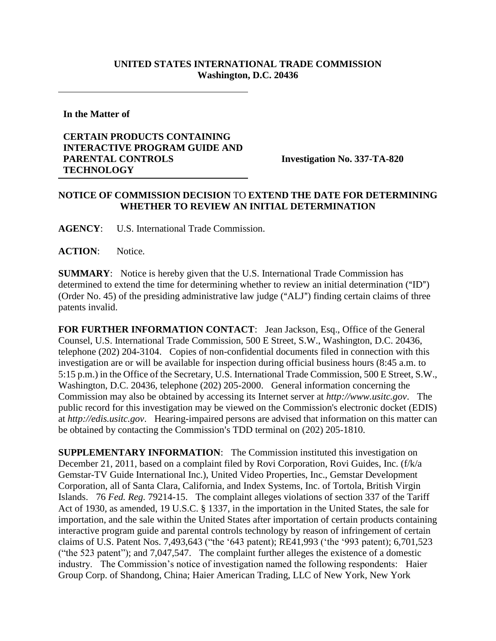## **UNITED STATES INTERNATIONAL TRADE COMMISSION Washington, D.C. 20436**

**In the Matter of** 

## **CERTAIN PRODUCTS CONTAINING INTERACTIVE PROGRAM GUIDE AND PARENTAL CONTROLS TECHNOLOGY**

**Investigation No. 337-TA-820**

## **NOTICE OF COMMISSION DECISION** TO **EXTEND THE DATE FOR DETERMINING WHETHER TO REVIEW AN INITIAL DETERMINATION**

**AGENCY**: U.S. International Trade Commission.

**ACTION**: Notice.

**SUMMARY**: Notice is hereby given that the U.S. International Trade Commission has determined to extend the time for determining whether to review an initial determination  $("ID")$ (Order No. 45) of the presiding administrative law judge (" $ALJ$ ") finding certain claims of three patents invalid.

**FOR FURTHER INFORMATION CONTACT:** Jean Jackson, Esq., Office of the General Counsel, U.S. International Trade Commission, 500 E Street, S.W., Washington, D.C. 20436, telephone (202) 204-3104. Copies of non-confidential documents filed in connection with this investigation are or will be available for inspection during official business hours (8:45 a.m. to 5:15 p.m.) in the Office of the Secretary, U.S. International Trade Commission, 500 E Street, S.W., Washington, D.C. 20436, telephone (202) 205-2000. General information concerning the Commission may also be obtained by accessing its Internet server at *http://www.usitc.gov*. The public record for this investigation may be viewed on the Commission's electronic docket (EDIS) at *http://edis.usitc.gov*. Hearing-impaired persons are advised that information on this matter can be obtained by contacting the Commission's TDD terminal on (202) 205-1810.

**SUPPLEMENTARY INFORMATION**: The Commission instituted this investigation on December 21, 2011, based on a complaint filed by Rovi Corporation, Rovi Guides, Inc. (f/k/a Gemstar-TV Guide International Inc.), United Video Properties, Inc., Gemstar Development Corporation, all of Santa Clara, California, and Index Systems, Inc. of Tortola, British Virgin Islands. 76 *Fed. Reg.* 79214-15. The complaint alleges violations of section 337 of the Tariff Act of 1930, as amended, 19 U.S.C. § 1337, in the importation in the United States, the sale for importation, and the sale within the United States after importation of certain products containing interactive program guide and parental controls technology by reason of infringement of certain claims of U.S. Patent Nos. 7,493,643 ("the '643 patent); RE41,993 ('the '993 patent); 6,701,523 ("the 523 patent"); and 7,047,547. The complaint further alleges the existence of a domestic industry. The Commission's notice of investigation named the following respondents: Haier Group Corp. of Shandong, China; Haier American Trading, LLC of New York, New York